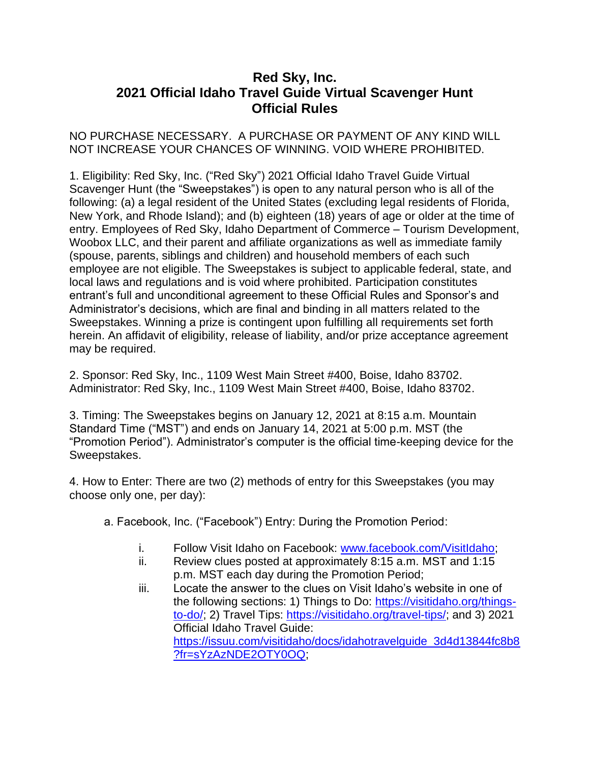## **Red Sky, Inc. 2021 Official Idaho Travel Guide Virtual Scavenger Hunt Official Rules**

## NO PURCHASE NECESSARY. A PURCHASE OR PAYMENT OF ANY KIND WILL NOT INCREASE YOUR CHANCES OF WINNING. VOID WHERE PROHIBITED.

1. Eligibility: Red Sky, Inc. ("Red Sky") 2021 Official Idaho Travel Guide Virtual Scavenger Hunt (the "Sweepstakes") is open to any natural person who is all of the following: (a) a legal resident of the United States (excluding legal residents of Florida, New York, and Rhode Island); and (b) eighteen (18) years of age or older at the time of entry. Employees of Red Sky, Idaho Department of Commerce – Tourism Development, Woobox LLC, and their parent and affiliate organizations as well as immediate family (spouse, parents, siblings and children) and household members of each such employee are not eligible. The Sweepstakes is subject to applicable federal, state, and local laws and regulations and is void where prohibited. Participation constitutes entrant's full and unconditional agreement to these Official Rules and Sponsor's and Administrator's decisions, which are final and binding in all matters related to the Sweepstakes. Winning a prize is contingent upon fulfilling all requirements set forth herein. An affidavit of eligibility, release of liability, and/or prize acceptance agreement may be required.

2. Sponsor: Red Sky, Inc., 1109 West Main Street #400, Boise, Idaho 83702. Administrator: Red Sky, Inc., 1109 West Main Street #400, Boise, Idaho 83702.

3. Timing: The Sweepstakes begins on January 12, 2021 at 8:15 a.m. Mountain Standard Time ("MST") and ends on January 14, 2021 at 5:00 p.m. MST (the "Promotion Period"). Administrator's computer is the official time-keeping device for the Sweepstakes.

4. How to Enter: There are two (2) methods of entry for this Sweepstakes (you may choose only one, per day):

- a. Facebook, Inc. ("Facebook") Entry: During the Promotion Period:
	- i. Follow Visit Idaho on Facebook: [www.facebook.com/VisitIdaho;](http://www.facebook.com/VisitIdaho)
	- ii. Review clues posted at approximately 8:15 a.m. MST and 1:15 p.m. MST each day during the Promotion Period;
	- iii. Locate the answer to the clues on Visit Idaho's website in one of the following sections: 1) Things to Do: [https://visitidaho.org/things](https://visitidaho.org/things-to-do/)[to-do/;](https://visitidaho.org/things-to-do/) 2) Travel Tips: [https://visitidaho.org/travel-tips/;](https://visitidaho.org/travel-tips/) and 3) 2021 Official Idaho Travel Guide: [https://issuu.com/visitidaho/docs/idahotravelguide\\_3d4d13844fc8b8](https://issuu.com/visitidaho/docs/idahotravelguide_3d4d13844fc8b8?fr=sYzAzNDE2OTY0OQ) [?fr=sYzAzNDE2OTY0OQ;](https://issuu.com/visitidaho/docs/idahotravelguide_3d4d13844fc8b8?fr=sYzAzNDE2OTY0OQ)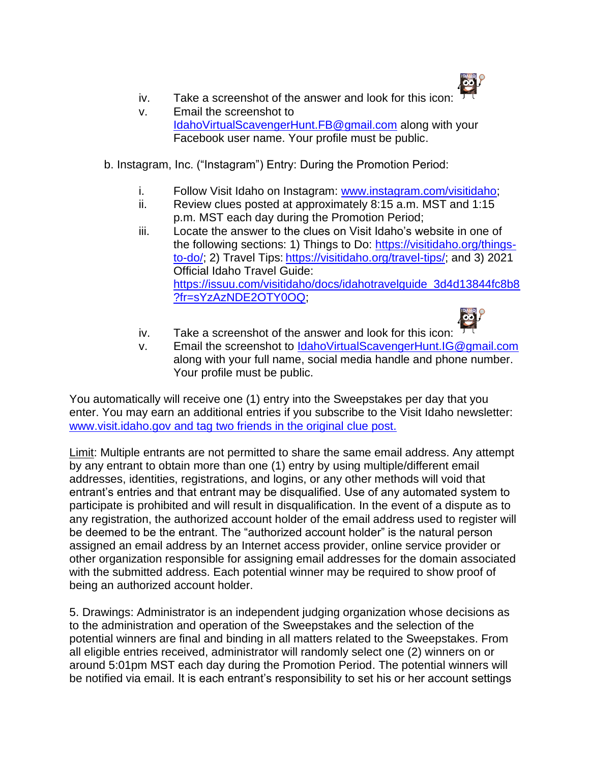

- iv. Take a screenshot of the answer and look for this icon:
- v. Email the screenshot to [IdahoVirtualScavengerHunt.FB@gmail.com](mailto:IdahoVirtualScavengerHunt.FB@gmail.com) along with your Facebook user name. Your profile must be public.
- b. Instagram, Inc. ("Instagram") Entry: During the Promotion Period:
	- i. Follow Visit Idaho on Instagram: [www.instagram.com/visitidaho;](http://www.instagram.com/visitidaho)
	- ii. Review clues posted at approximately 8:15 a.m. MST and 1:15 p.m. MST each day during the Promotion Period;
	- iii. Locate the answer to the clues on Visit Idaho's website in one of the following sections: 1) Things to Do: [https://visitidaho.org/things](https://visitidaho.org/things-to-do/)[to-do/;](https://visitidaho.org/things-to-do/) 2) Travel Tips: [https://visitidaho.org/travel-tips/;](https://visitidaho.org/travel-tips/) and 3) 2021 Official Idaho Travel Guide: [https://issuu.com/visitidaho/docs/idahotravelguide\\_3d4d13844fc8b8](https://issuu.com/visitidaho/docs/idahotravelguide_3d4d13844fc8b8?fr=sYzAzNDE2OTY0OQ) [?fr=sYzAzNDE2OTY0OQ;](https://issuu.com/visitidaho/docs/idahotravelguide_3d4d13844fc8b8?fr=sYzAzNDE2OTY0OQ)



- iv. Take a screenshot of the answer and look for this icon:
- v. Email the screenshot to [IdahoVirtualScavengerHunt.IG@gmail.com](mailto:IdahoVirtualScavengerHunt.IG@gmail.com) along with your full name, social media handle and phone number. Your profile must be public.

You automatically will receive one (1) entry into the Sweepstakes per day that you enter. You may earn an additional entries if you subscribe to the Visit Idaho newsletter: [www.visit.idaho.gov](http://www.visit.idaho.gov/) and tag two friends in the original clue post.

Limit: Multiple entrants are not permitted to share the same email address. Any attempt by any entrant to obtain more than one (1) entry by using multiple/different email addresses, identities, registrations, and logins, or any other methods will void that entrant's entries and that entrant may be disqualified. Use of any automated system to participate is prohibited and will result in disqualification. In the event of a dispute as to any registration, the authorized account holder of the email address used to register will be deemed to be the entrant. The "authorized account holder" is the natural person assigned an email address by an Internet access provider, online service provider or other organization responsible for assigning email addresses for the domain associated with the submitted address. Each potential winner may be required to show proof of being an authorized account holder.

5. Drawings: Administrator is an independent judging organization whose decisions as to the administration and operation of the Sweepstakes and the selection of the potential winners are final and binding in all matters related to the Sweepstakes. From all eligible entries received, administrator will randomly select one (2) winners on or around 5:01pm MST each day during the Promotion Period. The potential winners will be notified via email. It is each entrant's responsibility to set his or her account settings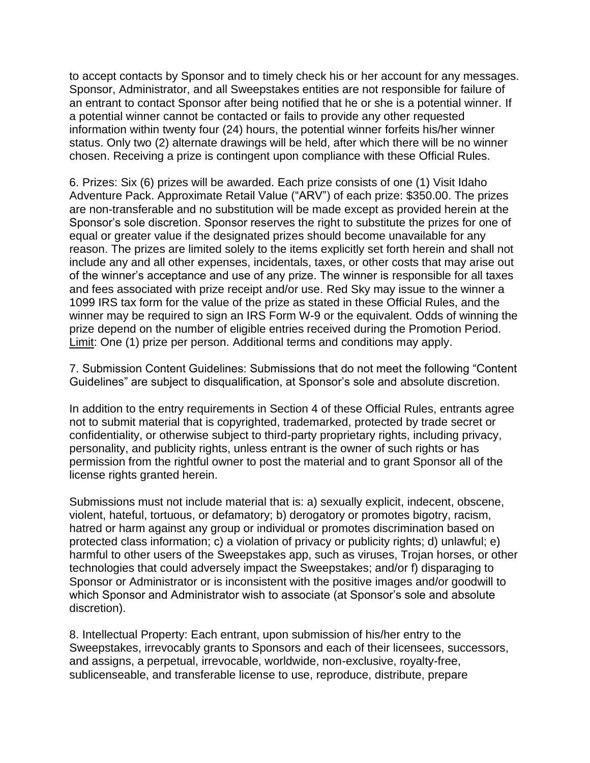to accept contacts by Sponsor and to timely check his or her account for any messages. Sponsor, Administrator, and all Sweepstakes entities are not responsible for failure of an entrant to contact Sponsor after being notified that he or she is a potential winner. If a potential winner cannot be contacted or fails to provide any other requested information within twenty four (24) hours, the potential winner forfeits his/her winner status. Only two (2) alternate drawings will be held, after which there will be no winner chosen. Receiving a prize is contingent upon compliance with these Official Rules.

6. Prizes: Six (6) prizes will be awarded. Each prize consists of one (1) Visit Idaho Adventure Pack. Approximate Retail Value ("ARV") of each prize: \$350.00. The prizes are non-transferable and no substitution will be made except as provided herein at the Sponsor's sole discretion. Sponsor reserves the right to substitute the prizes for one of equal or greater value if the designated prizes should become unavailable for any reason. The prizes are limited solely to the items explicitly set forth herein and shall not include any and all other expenses, incidentals, taxes, or other costs that may arise out of the winner's acceptance and use of any prize. The winner is responsible for all taxes and fees associated with prize receipt and/or use. Red Sky may issue to the winner a 1099 IRS tax form for the value of the prize as stated in these Official Rules, and the winner may be required to sign an IRS Form W-9 or the equivalent. Odds of winning the prize depend on the number of eligible entries received during the Promotion Period. Limit: One (1) prize per person. Additional terms and conditions may apply.

7. Submission Content Guidelines: Submissions that do not meet the following "Content Guidelines" are subject to disqualification, at Sponsor's sole and absolute discretion.

In addition to the entry requirements in Section 4 of these Official Rules, entrants agree not to submit material that is copyrighted, trademarked, protected by trade secret or confidentiality, or otherwise subject to third-party proprietary rights, including privacy, personality, and publicity rights, unless entrant is the owner of such rights or has permission from the rightful owner to post the material and to grant Sponsor all of the license rights granted herein.

Submissions must not include material that is: a) sexually explicit, indecent, obscene, violent, hateful, tortuous, or defamatory; b) derogatory or promotes bigotry, racism, hatred or harm against any group or individual or promotes discrimination based on protected class information; c) a violation of privacy or publicity rights; d) unlawful; e) harmful to other users of the Sweepstakes app, such as viruses, Trojan horses, or other technologies that could adversely impact the Sweepstakes; and/or f) disparaging to Sponsor or Administrator or is inconsistent with the positive images and/or goodwill to which Sponsor and Administrator wish to associate (at Sponsor's sole and absolute discretion).

8. Intellectual Property: Each entrant, upon submission of his/her entry to the Sweepstakes, irrevocably grants to Sponsors and each of their licensees, successors, and assigns, a perpetual, irrevocable, worldwide, non-exclusive, royalty-free, sublicenseable, and transferable license to use, reproduce, distribute, prepare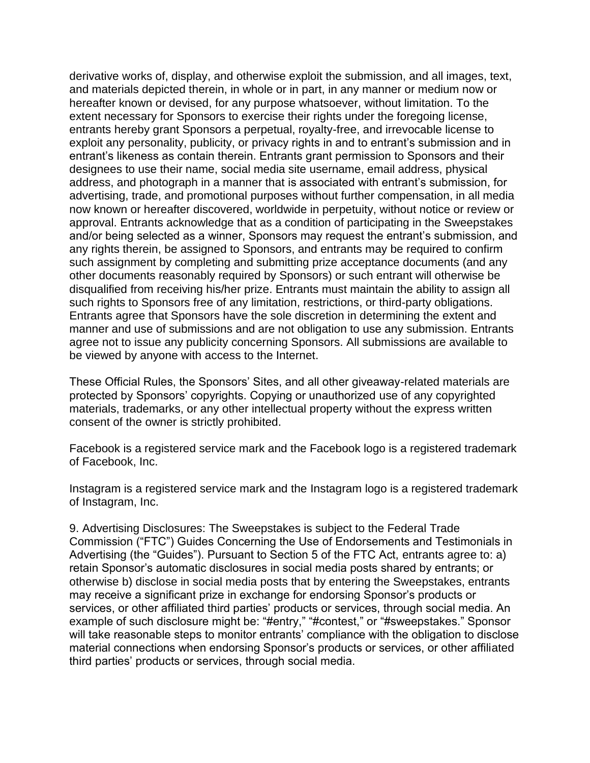derivative works of, display, and otherwise exploit the submission, and all images, text, and materials depicted therein, in whole or in part, in any manner or medium now or hereafter known or devised, for any purpose whatsoever, without limitation. To the extent necessary for Sponsors to exercise their rights under the foregoing license, entrants hereby grant Sponsors a perpetual, royalty-free, and irrevocable license to exploit any personality, publicity, or privacy rights in and to entrant's submission and in entrant's likeness as contain therein. Entrants grant permission to Sponsors and their designees to use their name, social media site username, email address, physical address, and photograph in a manner that is associated with entrant's submission, for advertising, trade, and promotional purposes without further compensation, in all media now known or hereafter discovered, worldwide in perpetuity, without notice or review or approval. Entrants acknowledge that as a condition of participating in the Sweepstakes and/or being selected as a winner, Sponsors may request the entrant's submission, and any rights therein, be assigned to Sponsors, and entrants may be required to confirm such assignment by completing and submitting prize acceptance documents (and any other documents reasonably required by Sponsors) or such entrant will otherwise be disqualified from receiving his/her prize. Entrants must maintain the ability to assign all such rights to Sponsors free of any limitation, restrictions, or third-party obligations. Entrants agree that Sponsors have the sole discretion in determining the extent and manner and use of submissions and are not obligation to use any submission. Entrants agree not to issue any publicity concerning Sponsors. All submissions are available to be viewed by anyone with access to the Internet.

These Official Rules, the Sponsors' Sites, and all other giveaway-related materials are protected by Sponsors' copyrights. Copying or unauthorized use of any copyrighted materials, trademarks, or any other intellectual property without the express written consent of the owner is strictly prohibited.

Facebook is a registered service mark and the Facebook logo is a registered trademark of Facebook, Inc.

Instagram is a registered service mark and the Instagram logo is a registered trademark of Instagram, Inc.

9. Advertising Disclosures: The Sweepstakes is subject to the Federal Trade Commission ("FTC") Guides Concerning the Use of Endorsements and Testimonials in Advertising (the "Guides"). Pursuant to Section 5 of the FTC Act, entrants agree to: a) retain Sponsor's automatic disclosures in social media posts shared by entrants; or otherwise b) disclose in social media posts that by entering the Sweepstakes, entrants may receive a significant prize in exchange for endorsing Sponsor's products or services, or other affiliated third parties' products or services, through social media. An example of such disclosure might be: "#entry," "#contest," or "#sweepstakes." Sponsor will take reasonable steps to monitor entrants' compliance with the obligation to disclose material connections when endorsing Sponsor's products or services, or other affiliated third parties' products or services, through social media.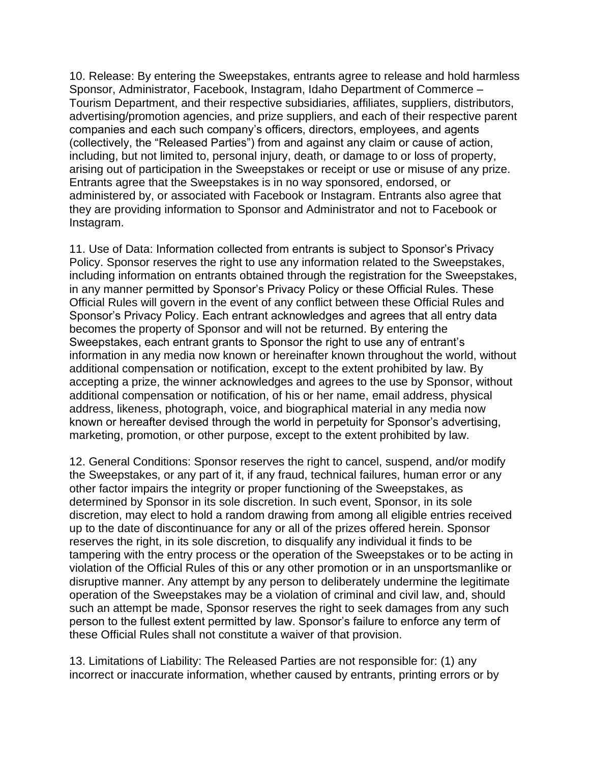10. Release: By entering the Sweepstakes, entrants agree to release and hold harmless Sponsor, Administrator, Facebook, Instagram, Idaho Department of Commerce – Tourism Department, and their respective subsidiaries, affiliates, suppliers, distributors, advertising/promotion agencies, and prize suppliers, and each of their respective parent companies and each such company's officers, directors, employees, and agents (collectively, the "Released Parties") from and against any claim or cause of action, including, but not limited to, personal injury, death, or damage to or loss of property, arising out of participation in the Sweepstakes or receipt or use or misuse of any prize. Entrants agree that the Sweepstakes is in no way sponsored, endorsed, or administered by, or associated with Facebook or Instagram. Entrants also agree that they are providing information to Sponsor and Administrator and not to Facebook or Instagram.

11. Use of Data: Information collected from entrants is subject to Sponsor's Privacy Policy. Sponsor reserves the right to use any information related to the Sweepstakes, including information on entrants obtained through the registration for the Sweepstakes, in any manner permitted by Sponsor's Privacy Policy or these Official Rules. These Official Rules will govern in the event of any conflict between these Official Rules and Sponsor's Privacy Policy. Each entrant acknowledges and agrees that all entry data becomes the property of Sponsor and will not be returned. By entering the Sweepstakes, each entrant grants to Sponsor the right to use any of entrant's information in any media now known or hereinafter known throughout the world, without additional compensation or notification, except to the extent prohibited by law. By accepting a prize, the winner acknowledges and agrees to the use by Sponsor, without additional compensation or notification, of his or her name, email address, physical address, likeness, photograph, voice, and biographical material in any media now known or hereafter devised through the world in perpetuity for Sponsor's advertising, marketing, promotion, or other purpose, except to the extent prohibited by law.

12. General Conditions: Sponsor reserves the right to cancel, suspend, and/or modify the Sweepstakes, or any part of it, if any fraud, technical failures, human error or any other factor impairs the integrity or proper functioning of the Sweepstakes, as determined by Sponsor in its sole discretion. In such event, Sponsor, in its sole discretion, may elect to hold a random drawing from among all eligible entries received up to the date of discontinuance for any or all of the prizes offered herein. Sponsor reserves the right, in its sole discretion, to disqualify any individual it finds to be tampering with the entry process or the operation of the Sweepstakes or to be acting in violation of the Official Rules of this or any other promotion or in an unsportsmanlike or disruptive manner. Any attempt by any person to deliberately undermine the legitimate operation of the Sweepstakes may be a violation of criminal and civil law, and, should such an attempt be made, Sponsor reserves the right to seek damages from any such person to the fullest extent permitted by law. Sponsor's failure to enforce any term of these Official Rules shall not constitute a waiver of that provision.

13. Limitations of Liability: The Released Parties are not responsible for: (1) any incorrect or inaccurate information, whether caused by entrants, printing errors or by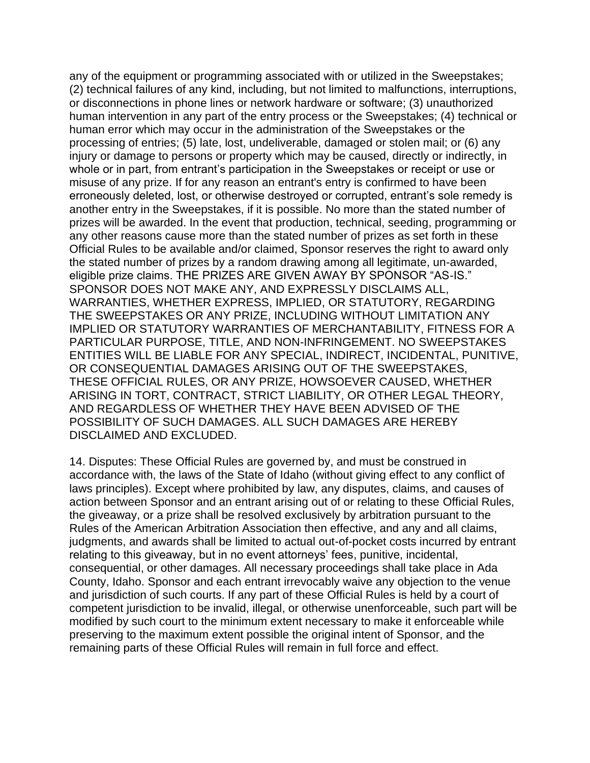any of the equipment or programming associated with or utilized in the Sweepstakes; (2) technical failures of any kind, including, but not limited to malfunctions, interruptions, or disconnections in phone lines or network hardware or software; (3) unauthorized human intervention in any part of the entry process or the Sweepstakes; (4) technical or human error which may occur in the administration of the Sweepstakes or the processing of entries; (5) late, lost, undeliverable, damaged or stolen mail; or (6) any injury or damage to persons or property which may be caused, directly or indirectly, in whole or in part, from entrant's participation in the Sweepstakes or receipt or use or misuse of any prize. If for any reason an entrant's entry is confirmed to have been erroneously deleted, lost, or otherwise destroyed or corrupted, entrant's sole remedy is another entry in the Sweepstakes, if it is possible. No more than the stated number of prizes will be awarded. In the event that production, technical, seeding, programming or any other reasons cause more than the stated number of prizes as set forth in these Official Rules to be available and/or claimed, Sponsor reserves the right to award only the stated number of prizes by a random drawing among all legitimate, un-awarded, eligible prize claims. THE PRIZES ARE GIVEN AWAY BY SPONSOR "AS-IS." SPONSOR DOES NOT MAKE ANY, AND EXPRESSLY DISCLAIMS ALL, WARRANTIES, WHETHER EXPRESS, IMPLIED, OR STATUTORY, REGARDING THE SWEEPSTAKES OR ANY PRIZE, INCLUDING WITHOUT LIMITATION ANY IMPLIED OR STATUTORY WARRANTIES OF MERCHANTABILITY, FITNESS FOR A PARTICULAR PURPOSE, TITLE, AND NON-INFRINGEMENT. NO SWEEPSTAKES ENTITIES WILL BE LIABLE FOR ANY SPECIAL, INDIRECT, INCIDENTAL, PUNITIVE, OR CONSEQUENTIAL DAMAGES ARISING OUT OF THE SWEEPSTAKES, THESE OFFICIAL RULES, OR ANY PRIZE, HOWSOEVER CAUSED, WHETHER ARISING IN TORT, CONTRACT, STRICT LIABILITY, OR OTHER LEGAL THEORY, AND REGARDLESS OF WHETHER THEY HAVE BEEN ADVISED OF THE POSSIBILITY OF SUCH DAMAGES. ALL SUCH DAMAGES ARE HEREBY DISCLAIMED AND EXCLUDED.

14. Disputes: These Official Rules are governed by, and must be construed in accordance with, the laws of the State of Idaho (without giving effect to any conflict of laws principles). Except where prohibited by law, any disputes, claims, and causes of action between Sponsor and an entrant arising out of or relating to these Official Rules, the giveaway, or a prize shall be resolved exclusively by arbitration pursuant to the Rules of the American Arbitration Association then effective, and any and all claims, judgments, and awards shall be limited to actual out-of-pocket costs incurred by entrant relating to this giveaway, but in no event attorneys' fees, punitive, incidental, consequential, or other damages. All necessary proceedings shall take place in Ada County, Idaho. Sponsor and each entrant irrevocably waive any objection to the venue and jurisdiction of such courts. If any part of these Official Rules is held by a court of competent jurisdiction to be invalid, illegal, or otherwise unenforceable, such part will be modified by such court to the minimum extent necessary to make it enforceable while preserving to the maximum extent possible the original intent of Sponsor, and the remaining parts of these Official Rules will remain in full force and effect.